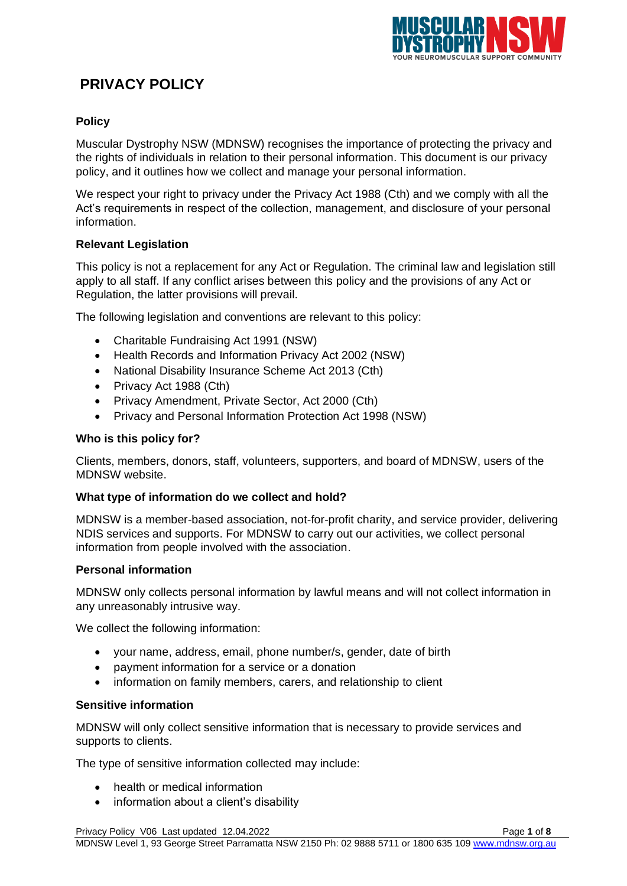

# **PRIVACY POLICY**

## **Policy**

Muscular Dystrophy NSW (MDNSW) recognises the importance of protecting the privacy and the rights of individuals in relation to their personal information. This document is our privacy policy, and it outlines how we collect and manage your personal information.

We respect your right to privacy under the Privacy Act 1988 (Cth) and we comply with all the Act's requirements in respect of the collection, management, and disclosure of your personal information.

## **Relevant Legislation**

This policy is not a replacement for any Act or Regulation. The criminal law and legislation still apply to all staff. If any conflict arises between this policy and the provisions of any Act or Regulation, the latter provisions will prevail.

The following legislation and conventions are relevant to this policy:

- Charitable Fundraising Act 1991 (NSW)
- Health Records and Information Privacy Act 2002 (NSW)
- National Disability Insurance Scheme Act 2013 (Cth)
- Privacy Act 1988 (Cth)
- Privacy Amendment, Private Sector, Act 2000 (Cth)
- Privacy and Personal Information Protection Act 1998 (NSW)

## **Who is this policy for?**

Clients, members, donors, staff, volunteers, supporters, and board of MDNSW, users of the MDNSW website.

## **What type of information do we collect and hold?**

MDNSW is a member-based association, not-for-profit charity, and service provider, delivering NDIS services and supports. For MDNSW to carry out our activities, we collect personal information from people involved with the association.

## **Personal information**

MDNSW only collects personal information by lawful means and will not collect information in any unreasonably intrusive way.

We collect the following information:

- your name, address, email, phone number/s, gender, date of birth
- payment information for a service or a donation
- information on family members, carers, and relationship to client

## **Sensitive information**

MDNSW will only collect sensitive information that is necessary to provide services and supports to clients.

The type of sensitive information collected may include:

- health or medical information
- information about a client's disability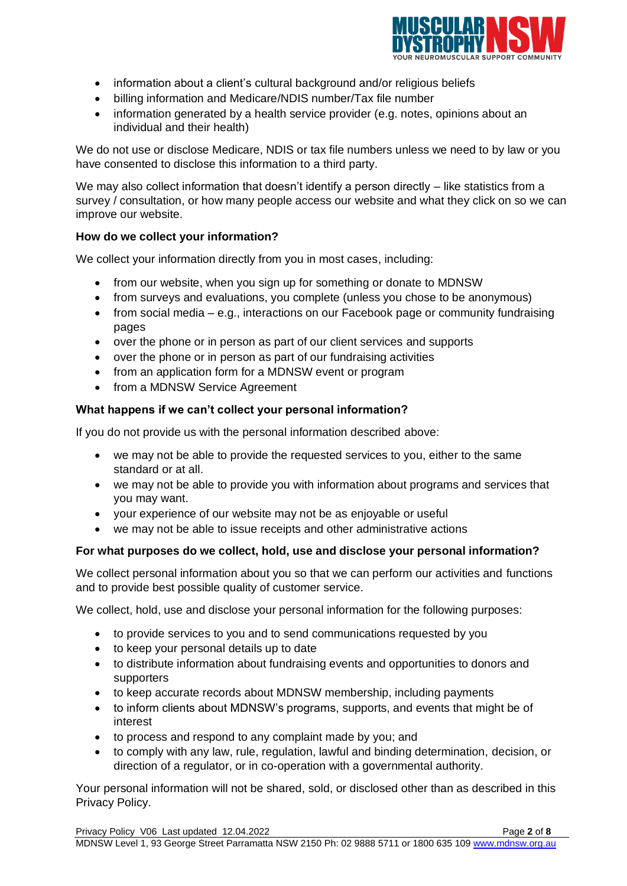

- information about a client's cultural background and/or religious beliefs
- billing information and Medicare/NDIS number/Tax file number
- information generated by a health service provider (e.g. notes, opinions about an individual and their health)

We do not use or disclose Medicare, NDIS or tax file numbers unless we need to by law or you have consented to disclose this information to a third party.

We may also collect information that doesn't identify a person directly – like statistics from a survey / consultation, or how many people access our website and what they click on so we can improve our website.

## **How do we collect your information?**

We collect your information directly from you in most cases, including:

- from our website, when you sign up for something or donate to MDNSW
- from surveys and evaluations, you complete (unless you chose to be anonymous)
- from social media e.g., interactions on our Facebook page or community fundraising pages
- over the phone or in person as part of our client services and supports
- over the phone or in person as part of our fundraising activities
- from an application form for a MDNSW event or program
- from a MDNSW Service Agreement

## **What happens if we can't collect your personal information?**

If you do not provide us with the personal information described above:

- we may not be able to provide the requested services to you, either to the same standard or at all.
- we may not be able to provide you with information about programs and services that you may want.
- your experience of our website may not be as enjoyable or useful
- we may not be able to issue receipts and other administrative actions

## **For what purposes do we collect, hold, use and disclose your personal information?**

We collect personal information about you so that we can perform our activities and functions and to provide best possible quality of customer service.

We collect, hold, use and disclose your personal information for the following purposes:

- to provide services to you and to send communications requested by you
- to keep your personal details up to date
- to distribute information about fundraising events and opportunities to donors and supporters
- to keep accurate records about MDNSW membership, including payments
- to inform clients about MDNSW's programs, supports, and events that might be of interest
- to process and respond to any complaint made by you; and
- to comply with any law, rule, regulation, lawful and binding determination, decision, or direction of a regulator, or in co-operation with a governmental authority.

Your personal information will not be shared, sold, or disclosed other than as described in this Privacy Policy.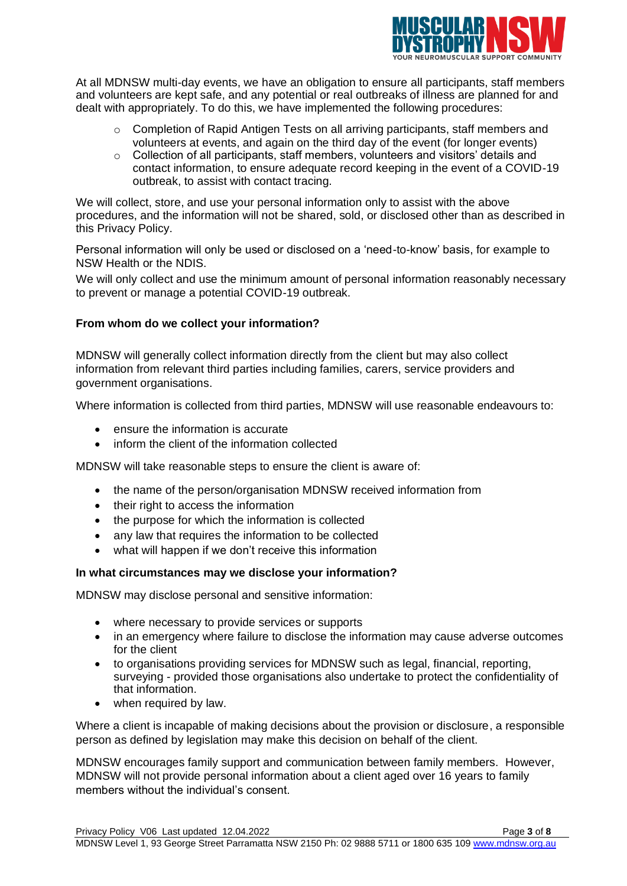

At all MDNSW multi-day events, we have an obligation to ensure all participants, staff members and volunteers are kept safe, and any potential or real outbreaks of illness are planned for and dealt with appropriately. To do this, we have implemented the following procedures:

- $\circ$  Completion of Rapid Antigen Tests on all arriving participants, staff members and volunteers at events, and again on the third day of the event (for longer events)
- o Collection of all participants, staff members, volunteers and visitors' details and contact information, to ensure adequate record keeping in the event of a COVID-19 outbreak, to assist with contact tracing.

We will collect, store, and use your personal information only to assist with the above procedures, and the information will not be shared, sold, or disclosed other than as described in this Privacy Policy.

Personal information will only be used or disclosed on a 'need-to-know' basis, for example to NSW Health or the NDIS.

We will only collect and use the minimum amount of personal information reasonably necessary to prevent or manage a potential COVID-19 outbreak.

## **From whom do we collect your information?**

MDNSW will generally collect information directly from the client but may also collect information from relevant third parties including families, carers, service providers and government organisations.

Where information is collected from third parties, MDNSW will use reasonable endeavours to:

- ensure the information is accurate
- inform the client of the information collected

MDNSW will take reasonable steps to ensure the client is aware of:

- the name of the person/organisation MDNSW received information from
- their right to access the information
- the purpose for which the information is collected
- any law that requires the information to be collected
- what will happen if we don't receive this information

## **In what circumstances may we disclose your information?**

MDNSW may disclose personal and sensitive information:

- where necessary to provide services or supports
- in an emergency where failure to disclose the information may cause adverse outcomes for the client
- to organisations providing services for MDNSW such as legal, financial, reporting, surveying - provided those organisations also undertake to protect the confidentiality of that information.
- when required by law.

Where a client is incapable of making decisions about the provision or disclosure, a responsible person as defined by legislation may make this decision on behalf of the client.

MDNSW encourages family support and communication between family members. However, MDNSW will not provide personal information about a client aged over 16 years to family members without the individual's consent.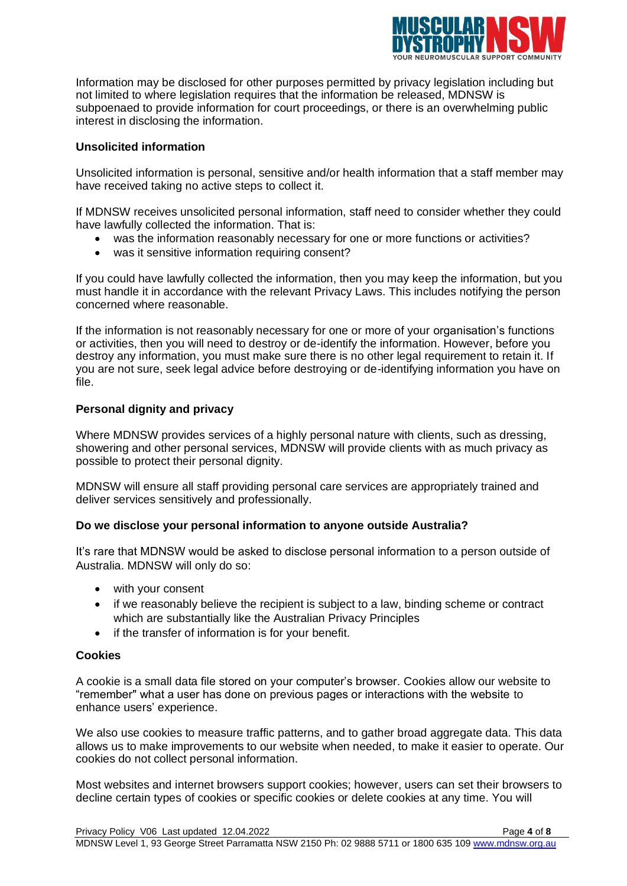

Information may be disclosed for other purposes permitted by privacy legislation including but not limited to where legislation requires that the information be released, MDNSW is subpoenaed to provide information for court proceedings, or there is an overwhelming public interest in disclosing the information.

## **Unsolicited information**

Unsolicited information is personal, sensitive and/or health information that a staff member may have received taking no active steps to collect it.

If MDNSW receives unsolicited personal information, staff need to consider whether they could have lawfully collected the information. That is:

- was the information reasonably necessary for one or more functions or activities?
- was it sensitive information requiring consent?

If you could have lawfully collected the information, then you may keep the information, but you must handle it in accordance with the relevant Privacy Laws. This includes notifying the person concerned where reasonable.

If the information is not reasonably necessary for one or more of your organisation's functions or activities, then you will need to destroy or de-identify the information. However, before you destroy any information, you must make sure there is no other legal requirement to retain it. If you are not sure, seek legal advice before destroying or de-identifying information you have on file.

## **Personal dignity and privacy**

Where MDNSW provides services of a highly personal nature with clients, such as dressing, showering and other personal services, MDNSW will provide clients with as much privacy as possible to protect their personal dignity.

MDNSW will ensure all staff providing personal care services are appropriately trained and deliver services sensitively and professionally.

## **Do we disclose your personal information to anyone outside Australia?**

It's rare that MDNSW would be asked to disclose personal information to a person outside of Australia. MDNSW will only do so:

- with your consent
- if we reasonably believe the recipient is subject to a law, binding scheme or contract which are substantially like the Australian Privacy Principles
- if the transfer of information is for your benefit.

## **Cookies**

A cookie is a small data file stored on your computer's browser. Cookies allow our website to "remember" what a user has done on previous pages or interactions with the website to enhance users' experience.

We also use cookies to measure traffic patterns, and to gather broad aggregate data. This data allows us to make improvements to our website when needed, to make it easier to operate. Our cookies do not collect personal information.

Most websites and internet browsers support cookies; however, users can set their browsers to decline certain types of cookies or specific cookies or delete cookies at any time. You will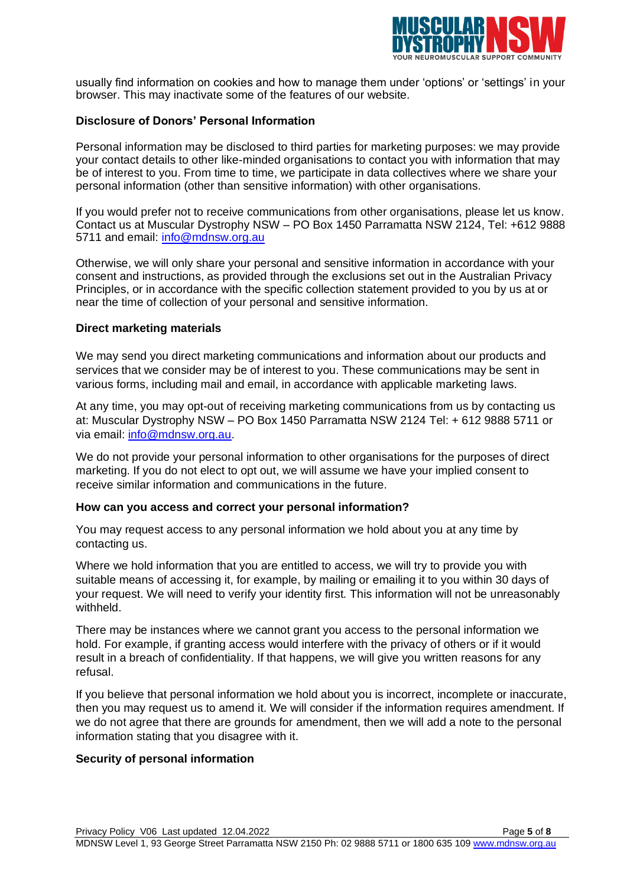

usually find information on cookies and how to manage them under 'options' or 'settings' in your browser. This may inactivate some of the features of our website.

#### **Disclosure of Donors' Personal Information**

Personal information may be disclosed to third parties for marketing purposes: we may provide your contact details to other like-minded organisations to contact you with information that may be of interest to you. From time to time, we participate in data collectives where we share your personal information (other than sensitive information) with other organisations.

If you would prefer not to receive communications from other organisations, please let us know. Contact us at Muscular Dystrophy NSW – PO Box 1450 Parramatta NSW 2124, Tel: +612 9888 5711 and email: [info@mdnsw.org.au](mailto:info@mdnsw.org.au)

Otherwise, we will only share your personal and sensitive information in accordance with your consent and instructions, as provided through the exclusions set out in the Australian Privacy Principles, or in accordance with the specific collection statement provided to you by us at or near the time of collection of your personal and sensitive information.

#### **Direct marketing materials**

We may send you direct marketing communications and information about our products and services that we consider may be of interest to you. These communications may be sent in various forms, including mail and email, in accordance with applicable marketing laws.

At any time, you may opt-out of receiving marketing communications from us by contacting us at: Muscular Dystrophy NSW – PO Box 1450 Parramatta NSW 2124 Tel: + 612 9888 5711 or via email: [info@mdnsw.org.au.](mailto:info@mdnsw.org.au)

We do not provide your personal information to other organisations for the purposes of direct marketing. If you do not elect to opt out, we will assume we have your implied consent to receive similar information and communications in the future.

#### **How can you access and correct your personal information?**

You may request access to any personal information we hold about you at any time by contacting us.

Where we hold information that you are entitled to access, we will try to provide you with suitable means of accessing it, for example, by mailing or emailing it to you within 30 days of your request. We will need to verify your identity first. This information will not be unreasonably withheld.

There may be instances where we cannot grant you access to the personal information we hold. For example, if granting access would interfere with the privacy of others or if it would result in a breach of confidentiality. If that happens, we will give you written reasons for any refusal.

If you believe that personal information we hold about you is incorrect, incomplete or inaccurate, then you may request us to amend it. We will consider if the information requires amendment. If we do not agree that there are grounds for amendment, then we will add a note to the personal information stating that you disagree with it.

#### **Security of personal information**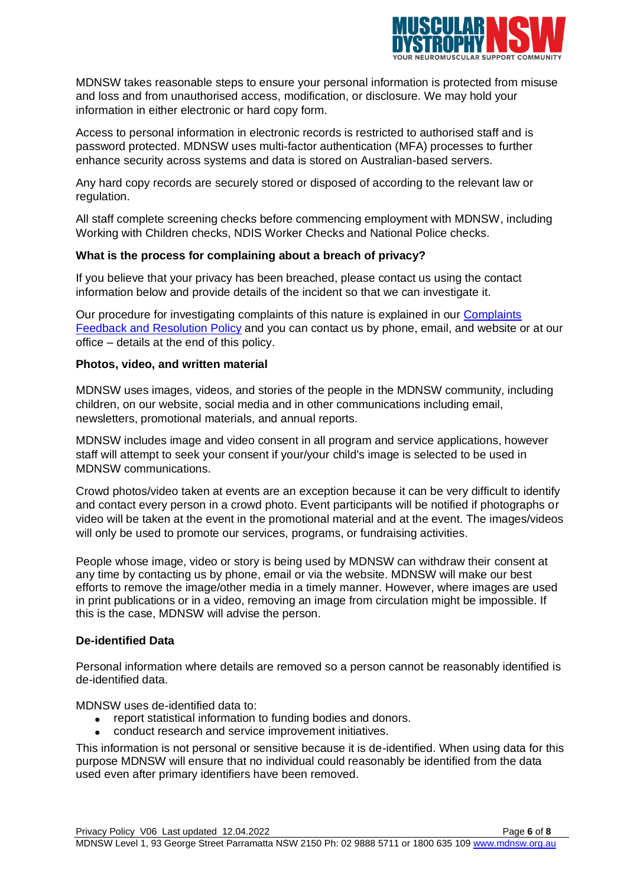

MDNSW takes reasonable steps to ensure your personal information is protected from misuse and loss and from unauthorised access, modification, or disclosure. We may hold your information in either electronic or hard copy form.

Access to personal information in electronic records is restricted to authorised staff and is password protected. MDNSW uses multi-factor authentication (MFA) processes to further enhance security across systems and data is stored on Australian-based servers.

Any hard copy records are securely stored or disposed of according to the relevant law or regulation.

All staff complete screening checks before commencing employment with MDNSW, including Working with Children checks, NDIS Worker Checks and National Police checks.

## **What is the process for complaining about a breach of privacy?**

If you believe that your privacy has been breached, please contact us using the contact information below and provide details of the incident so that we can investigate it.

Our procedure for investigating complaints of this nature is explained in our Complaints [Feedback and Resolution Policy](https://musculardystrophynsw.sharepoint.com/:w:/r/sites/TheHub/_layouts/15/Doc.aspx?sourcedoc=%7B8E1FB5C9-6130-44C7-A731-E52730FCD8F3%7D&file=Complaints%20Feedback%20%26%20Resolution%20Policy%20%26%20Procedure%20V05%20.docx&action=default&mobileredirect=true) and you can contact us by phone, email, and website or at our office – details at the end of this policy.

#### **Photos, video, and written material**

MDNSW uses images, videos, and stories of the people in the MDNSW community, including children, on our website, social media and in other communications including email, newsletters, promotional materials, and annual reports.

MDNSW includes image and video consent in all program and service applications, however staff will attempt to seek your consent if your/your child's image is selected to be used in MDNSW communications.

Crowd photos/video taken at events are an exception because it can be very difficult to identify and contact every person in a crowd photo. Event participants will be notified if photographs or video will be taken at the event in the promotional material and at the event. The images/videos will only be used to promote our services, programs, or fundraising activities.

People whose image, video or story is being used by MDNSW can withdraw their consent at any time by contacting us by phone, email or via the website. MDNSW will make our best efforts to remove the image/other media in a timely manner. However, where images are used in print publications or in a video, removing an image from circulation might be impossible. If this is the case, MDNSW will advise the person.

## **De-identified Data**

Personal information where details are removed so a person cannot be reasonably identified is de-identified data.

MDNSW uses de-identified data to:

- report statistical information to funding bodies and donors.
- conduct research and service improvement initiatives.

This information is not personal or sensitive because it is de-identified. When using data for this purpose MDNSW will ensure that no individual could reasonably be identified from the data used even after primary identifiers have been removed.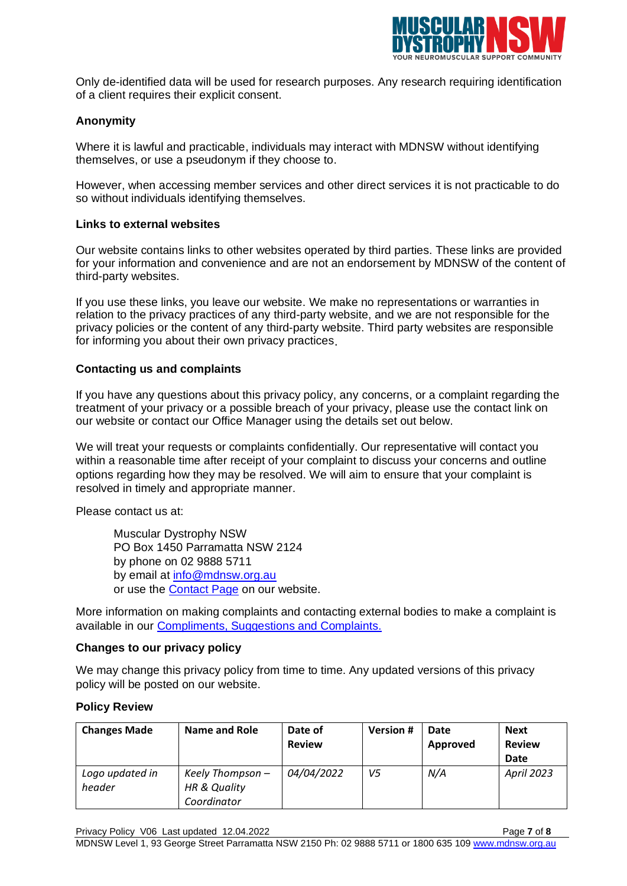

Only de-identified data will be used for research purposes. Any research requiring identification of a client requires their explicit consent.

## **Anonymity**

Where it is lawful and practicable, individuals may interact with MDNSW without identifying themselves, or use a pseudonym if they choose to.

However, when accessing member services and other direct services it is not practicable to do so without individuals identifying themselves.

#### **Links to external websites**

Our website contains links to other websites operated by third parties. These links are provided for your information and convenience and are not an endorsement by MDNSW of the content of third-party websites.

If you use these links, you leave our website. We make no representations or warranties in relation to the privacy practices of any third-party website, and we are not responsible for the privacy policies or the content of any third-party website. Third party websites are responsible for informing you about their own privacy practices.

#### **Contacting us and complaints**

If you have any questions about this privacy policy, any concerns, or a complaint regarding the treatment of your privacy or a possible breach of your privacy, please use the contact link on our website or contact our Office Manager using the details set out below.

We will treat your requests or complaints confidentially. Our representative will contact you within a reasonable time after receipt of your complaint to discuss your concerns and outline options regarding how they may be resolved. We will aim to ensure that your complaint is resolved in timely and appropriate manner.

Please contact us at:

Muscular Dystrophy NSW PO Box 1450 Parramatta NSW 2124 by phone on 02 9888 5711 by email at [info@mdnsw.org.au](mailto:info@mdnsw.org.au) or use the [Contact Page](https://mdnsw.org.au/contact-feedback/) on our website.

More information on making complaints and contacting external bodies to make a complaint is available in our [Compliments, Suggestions and Complaints.](https://mdnsw.org.au/wp-content/uploads/2022/06/Compliments-Suggestions-Complaints-Handout-V07-12.04.2022.pdf)

#### **Changes to our privacy policy**

We may change this privacy policy from time to time. Any updated versions of this privacy policy will be posted on our website.

#### **Policy Review**

| <b>Changes Made</b>       | Name and Role                                   | Date of<br><b>Review</b> | <b>Version#</b> | Date<br>Approved | <b>Next</b><br><b>Review</b><br><b>Date</b> |
|---------------------------|-------------------------------------------------|--------------------------|-----------------|------------------|---------------------------------------------|
| Logo updated in<br>header | Keely Thompson -<br>HR & Quality<br>Coordinator | 04/04/2022               | V5              | N/A              | <b>April 2023</b>                           |